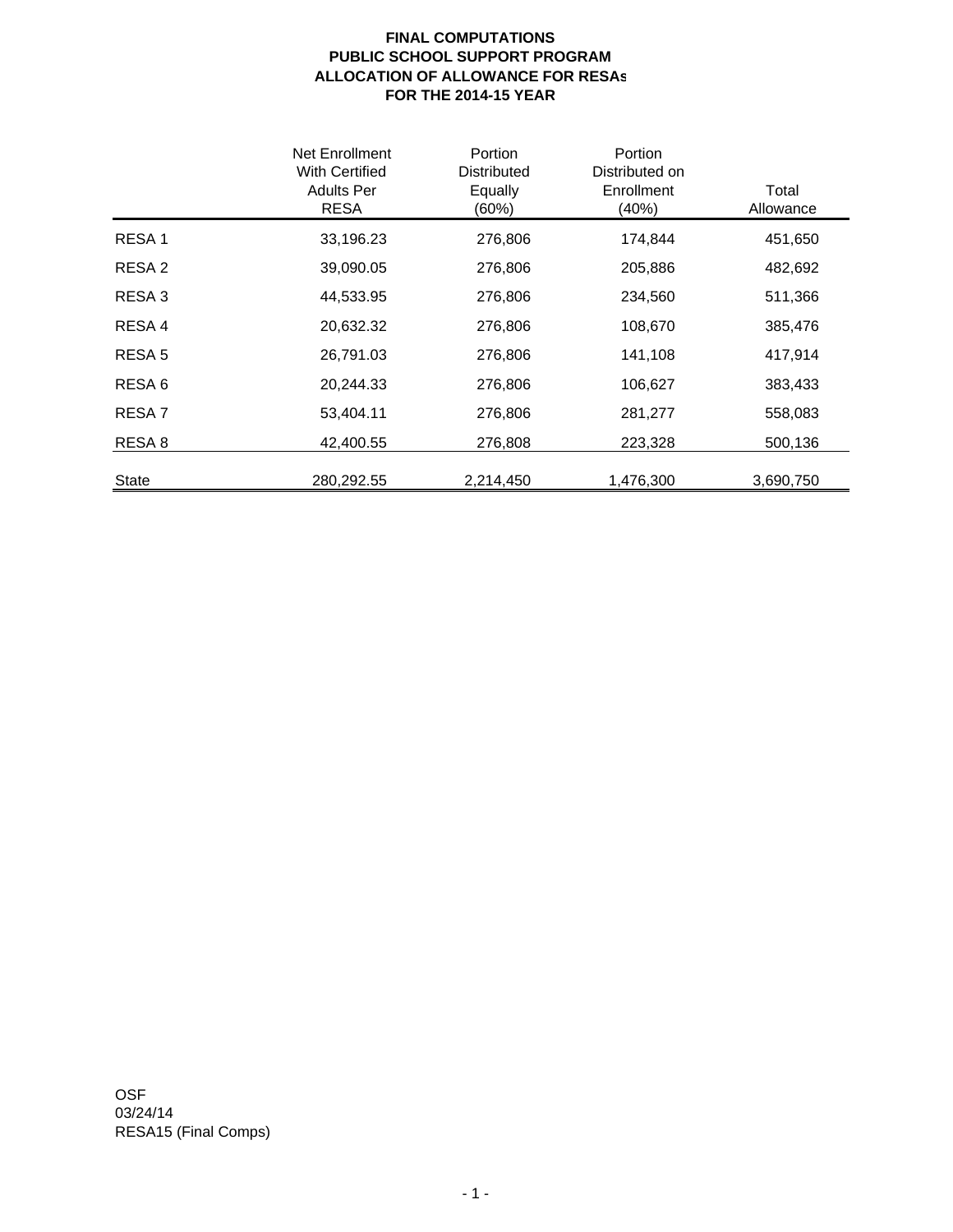## **FINAL COMPUTATIONS PUBLIC SCHOOL SUPPORT PROGRAM ALLOCATION OF ALLOWANCE FOR RESAs FOR THE 2014-15 YEAR**

|                   | Net Enrollment<br>With Certified<br><b>Adults Per</b><br><b>RESA</b> | Portion<br>Distributed<br>Equally<br>(60%) | Portion<br>Distributed on<br>Enrollment<br>(40%) | Total<br>Allowance |
|-------------------|----------------------------------------------------------------------|--------------------------------------------|--------------------------------------------------|--------------------|
| RESA <sub>1</sub> | 33,196.23                                                            | 276,806                                    | 174,844                                          | 451,650            |
| RESA <sub>2</sub> | 39,090.05                                                            | 276,806                                    | 205,886                                          | 482,692            |
| RESA <sub>3</sub> | 44,533.95                                                            | 276,806                                    | 234,560                                          | 511,366            |
| RESA 4            | 20,632.32                                                            | 276,806                                    | 108,670                                          | 385,476            |
| RESA <sub>5</sub> | 26,791.03                                                            | 276,806                                    | 141,108                                          | 417,914            |
| RESA <sub>6</sub> | 20,244.33                                                            | 276,806                                    | 106,627                                          | 383,433            |
| RESA <sub>7</sub> | 53,404.11                                                            | 276,806                                    | 281,277                                          | 558,083            |
| RESA <sub>8</sub> | 42,400.55                                                            | 276,808                                    | 223,328                                          | 500,136            |
| <b>State</b>      | 280,292.55                                                           | 2,214,450                                  | 1,476,300                                        | 3,690,750          |

OSF 03/24/14 RESA15 (Final Comps)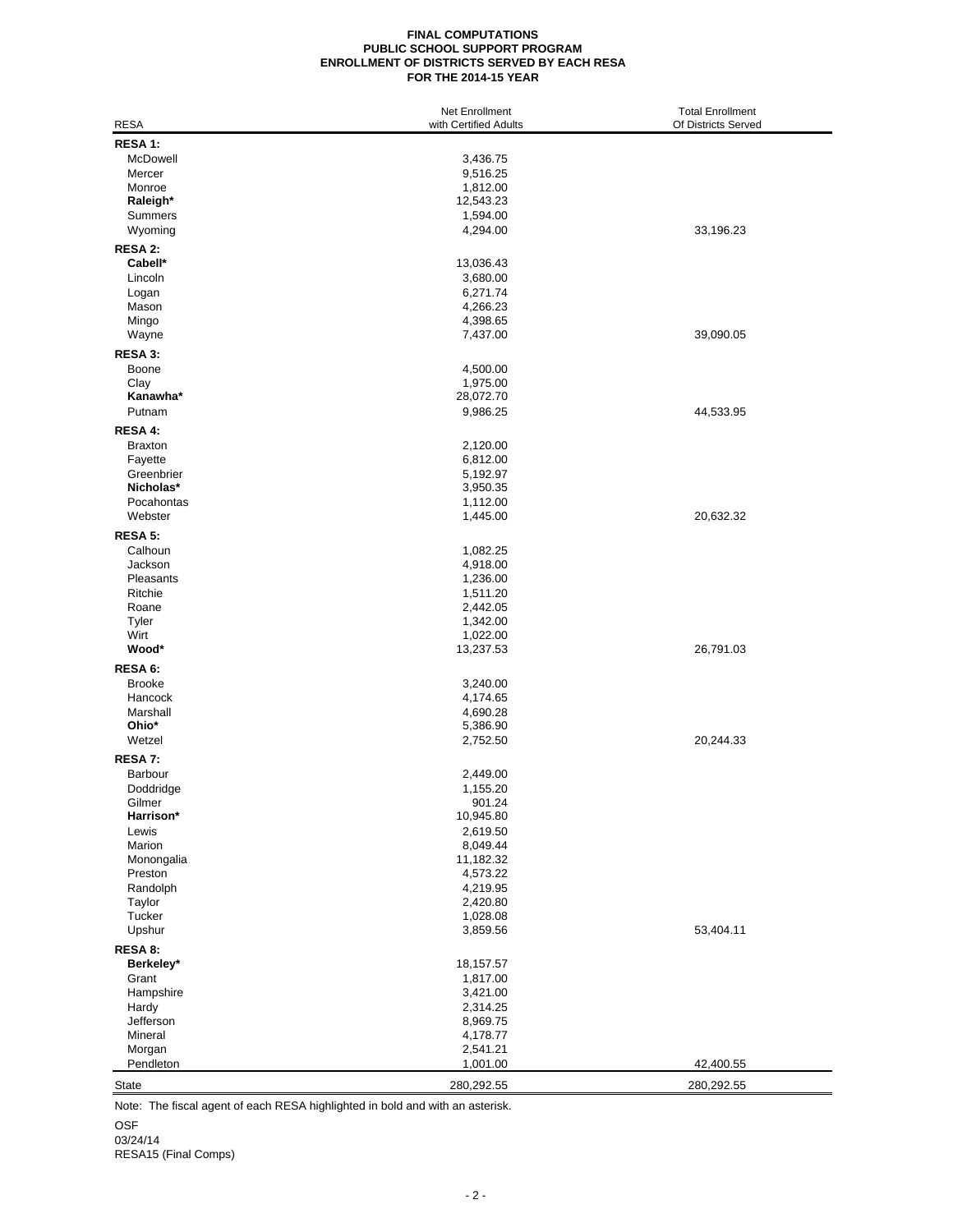## **FINAL COMPUTATIONS PUBLIC SCHOOL SUPPORT PROGRAM ENROLLMENT OF DISTRICTS SERVED BY EACH RESA FOR THE 2014-15 YEAR**

| RESA 1:<br>McDowell<br>3,436.75<br>Mercer<br>9,516.25<br>Monroe<br>1,812.00<br>Raleigh*<br>12,543.23<br>Summers<br>1,594.00<br>4,294.00<br>33,196.23<br>Wyoming<br>RESA 2:<br>Cabell*<br>13,036.43<br>Lincoln<br>3,680.00<br>6,271.74<br>Logan<br>Mason<br>4,266.23<br>Mingo<br>4,398.65<br>7,437.00<br>39,090.05<br>Wayne<br>RESA 3:<br>Boone<br>4,500.00<br>Clay<br>1,975.00<br>Kanawha*<br>28,072.70<br>Putnam<br>9,986.25<br>44,533.95<br>RESA 4:<br><b>Braxton</b><br>2,120.00<br>Fayette<br>6,812.00<br>Greenbrier<br>5,192.97<br>Nicholas*<br>3,950.35<br>Pocahontas<br>1,112.00<br>Webster<br>1,445.00<br>20,632.32<br>RESA 5:<br>Calhoun<br>1,082.25<br>Jackson<br>4,918.00<br>Pleasants<br>1,236.00<br>Ritchie<br>1,511.20<br>Roane<br>2,442.05<br>1,342.00<br>Tyler<br>Wirt<br>1,022.00<br>Wood*<br>26,791.03<br>13,237.53<br>RESA 6:<br><b>Brooke</b><br>3,240.00<br>Hancock<br>4,174.65<br>Marshall<br>4,690.28<br>Ohio*<br>5,386.90<br>Wetzel<br>20,244.33<br>2,752.50<br>RESA 7:<br>Barbour<br>2,449.00<br>Doddridge<br>1,155.20<br>Gilmer<br>901.24<br>Harrison*<br>10,945.80<br>Lewis<br>2,619.50<br>Marion<br>8,049.44<br>Monongalia<br>11,182.32<br>Preston<br>4,573.22<br>Randolph<br>4,219.95<br>2,420.80<br>Taylor<br>Tucker<br>1,028.08<br>Upshur<br>53,404.11<br>3,859.56<br>RESA 8:<br>Berkeley*<br>18,157.57<br>Grant<br>1,817.00<br>3,421.00<br>Hampshire<br>Hardy<br>2,314.25<br>Jefferson<br>8,969.75<br>Mineral<br>4,178.77<br>Morgan<br>2,541.21<br>Pendleton<br>1,001.00<br>42,400.55<br>280,292.55<br>280,292.55<br>State | <b>RESA</b> | <b>Net Enrollment</b><br>with Certified Adults | <b>Total Enrollment</b><br>Of Districts Served |
|------------------------------------------------------------------------------------------------------------------------------------------------------------------------------------------------------------------------------------------------------------------------------------------------------------------------------------------------------------------------------------------------------------------------------------------------------------------------------------------------------------------------------------------------------------------------------------------------------------------------------------------------------------------------------------------------------------------------------------------------------------------------------------------------------------------------------------------------------------------------------------------------------------------------------------------------------------------------------------------------------------------------------------------------------------------------------------------------------------------------------------------------------------------------------------------------------------------------------------------------------------------------------------------------------------------------------------------------------------------------------------------------------------------------------------------------------------------------------------------------------------------------------------------------------------|-------------|------------------------------------------------|------------------------------------------------|
|                                                                                                                                                                                                                                                                                                                                                                                                                                                                                                                                                                                                                                                                                                                                                                                                                                                                                                                                                                                                                                                                                                                                                                                                                                                                                                                                                                                                                                                                                                                                                            |             |                                                |                                                |
|                                                                                                                                                                                                                                                                                                                                                                                                                                                                                                                                                                                                                                                                                                                                                                                                                                                                                                                                                                                                                                                                                                                                                                                                                                                                                                                                                                                                                                                                                                                                                            |             |                                                |                                                |
|                                                                                                                                                                                                                                                                                                                                                                                                                                                                                                                                                                                                                                                                                                                                                                                                                                                                                                                                                                                                                                                                                                                                                                                                                                                                                                                                                                                                                                                                                                                                                            |             |                                                |                                                |
|                                                                                                                                                                                                                                                                                                                                                                                                                                                                                                                                                                                                                                                                                                                                                                                                                                                                                                                                                                                                                                                                                                                                                                                                                                                                                                                                                                                                                                                                                                                                                            |             |                                                |                                                |
|                                                                                                                                                                                                                                                                                                                                                                                                                                                                                                                                                                                                                                                                                                                                                                                                                                                                                                                                                                                                                                                                                                                                                                                                                                                                                                                                                                                                                                                                                                                                                            |             |                                                |                                                |
|                                                                                                                                                                                                                                                                                                                                                                                                                                                                                                                                                                                                                                                                                                                                                                                                                                                                                                                                                                                                                                                                                                                                                                                                                                                                                                                                                                                                                                                                                                                                                            |             |                                                |                                                |
|                                                                                                                                                                                                                                                                                                                                                                                                                                                                                                                                                                                                                                                                                                                                                                                                                                                                                                                                                                                                                                                                                                                                                                                                                                                                                                                                                                                                                                                                                                                                                            |             |                                                |                                                |
|                                                                                                                                                                                                                                                                                                                                                                                                                                                                                                                                                                                                                                                                                                                                                                                                                                                                                                                                                                                                                                                                                                                                                                                                                                                                                                                                                                                                                                                                                                                                                            |             |                                                |                                                |
|                                                                                                                                                                                                                                                                                                                                                                                                                                                                                                                                                                                                                                                                                                                                                                                                                                                                                                                                                                                                                                                                                                                                                                                                                                                                                                                                                                                                                                                                                                                                                            |             |                                                |                                                |
|                                                                                                                                                                                                                                                                                                                                                                                                                                                                                                                                                                                                                                                                                                                                                                                                                                                                                                                                                                                                                                                                                                                                                                                                                                                                                                                                                                                                                                                                                                                                                            |             |                                                |                                                |
|                                                                                                                                                                                                                                                                                                                                                                                                                                                                                                                                                                                                                                                                                                                                                                                                                                                                                                                                                                                                                                                                                                                                                                                                                                                                                                                                                                                                                                                                                                                                                            |             |                                                |                                                |
|                                                                                                                                                                                                                                                                                                                                                                                                                                                                                                                                                                                                                                                                                                                                                                                                                                                                                                                                                                                                                                                                                                                                                                                                                                                                                                                                                                                                                                                                                                                                                            |             |                                                |                                                |
|                                                                                                                                                                                                                                                                                                                                                                                                                                                                                                                                                                                                                                                                                                                                                                                                                                                                                                                                                                                                                                                                                                                                                                                                                                                                                                                                                                                                                                                                                                                                                            |             |                                                |                                                |
|                                                                                                                                                                                                                                                                                                                                                                                                                                                                                                                                                                                                                                                                                                                                                                                                                                                                                                                                                                                                                                                                                                                                                                                                                                                                                                                                                                                                                                                                                                                                                            |             |                                                |                                                |
|                                                                                                                                                                                                                                                                                                                                                                                                                                                                                                                                                                                                                                                                                                                                                                                                                                                                                                                                                                                                                                                                                                                                                                                                                                                                                                                                                                                                                                                                                                                                                            |             |                                                |                                                |
|                                                                                                                                                                                                                                                                                                                                                                                                                                                                                                                                                                                                                                                                                                                                                                                                                                                                                                                                                                                                                                                                                                                                                                                                                                                                                                                                                                                                                                                                                                                                                            |             |                                                |                                                |
|                                                                                                                                                                                                                                                                                                                                                                                                                                                                                                                                                                                                                                                                                                                                                                                                                                                                                                                                                                                                                                                                                                                                                                                                                                                                                                                                                                                                                                                                                                                                                            |             |                                                |                                                |
|                                                                                                                                                                                                                                                                                                                                                                                                                                                                                                                                                                                                                                                                                                                                                                                                                                                                                                                                                                                                                                                                                                                                                                                                                                                                                                                                                                                                                                                                                                                                                            |             |                                                |                                                |
|                                                                                                                                                                                                                                                                                                                                                                                                                                                                                                                                                                                                                                                                                                                                                                                                                                                                                                                                                                                                                                                                                                                                                                                                                                                                                                                                                                                                                                                                                                                                                            |             |                                                |                                                |
|                                                                                                                                                                                                                                                                                                                                                                                                                                                                                                                                                                                                                                                                                                                                                                                                                                                                                                                                                                                                                                                                                                                                                                                                                                                                                                                                                                                                                                                                                                                                                            |             |                                                |                                                |
|                                                                                                                                                                                                                                                                                                                                                                                                                                                                                                                                                                                                                                                                                                                                                                                                                                                                                                                                                                                                                                                                                                                                                                                                                                                                                                                                                                                                                                                                                                                                                            |             |                                                |                                                |
|                                                                                                                                                                                                                                                                                                                                                                                                                                                                                                                                                                                                                                                                                                                                                                                                                                                                                                                                                                                                                                                                                                                                                                                                                                                                                                                                                                                                                                                                                                                                                            |             |                                                |                                                |
|                                                                                                                                                                                                                                                                                                                                                                                                                                                                                                                                                                                                                                                                                                                                                                                                                                                                                                                                                                                                                                                                                                                                                                                                                                                                                                                                                                                                                                                                                                                                                            |             |                                                |                                                |
|                                                                                                                                                                                                                                                                                                                                                                                                                                                                                                                                                                                                                                                                                                                                                                                                                                                                                                                                                                                                                                                                                                                                                                                                                                                                                                                                                                                                                                                                                                                                                            |             |                                                |                                                |
|                                                                                                                                                                                                                                                                                                                                                                                                                                                                                                                                                                                                                                                                                                                                                                                                                                                                                                                                                                                                                                                                                                                                                                                                                                                                                                                                                                                                                                                                                                                                                            |             |                                                |                                                |
|                                                                                                                                                                                                                                                                                                                                                                                                                                                                                                                                                                                                                                                                                                                                                                                                                                                                                                                                                                                                                                                                                                                                                                                                                                                                                                                                                                                                                                                                                                                                                            |             |                                                |                                                |
|                                                                                                                                                                                                                                                                                                                                                                                                                                                                                                                                                                                                                                                                                                                                                                                                                                                                                                                                                                                                                                                                                                                                                                                                                                                                                                                                                                                                                                                                                                                                                            |             |                                                |                                                |
|                                                                                                                                                                                                                                                                                                                                                                                                                                                                                                                                                                                                                                                                                                                                                                                                                                                                                                                                                                                                                                                                                                                                                                                                                                                                                                                                                                                                                                                                                                                                                            |             |                                                |                                                |
|                                                                                                                                                                                                                                                                                                                                                                                                                                                                                                                                                                                                                                                                                                                                                                                                                                                                                                                                                                                                                                                                                                                                                                                                                                                                                                                                                                                                                                                                                                                                                            |             |                                                |                                                |
|                                                                                                                                                                                                                                                                                                                                                                                                                                                                                                                                                                                                                                                                                                                                                                                                                                                                                                                                                                                                                                                                                                                                                                                                                                                                                                                                                                                                                                                                                                                                                            |             |                                                |                                                |
|                                                                                                                                                                                                                                                                                                                                                                                                                                                                                                                                                                                                                                                                                                                                                                                                                                                                                                                                                                                                                                                                                                                                                                                                                                                                                                                                                                                                                                                                                                                                                            |             |                                                |                                                |
|                                                                                                                                                                                                                                                                                                                                                                                                                                                                                                                                                                                                                                                                                                                                                                                                                                                                                                                                                                                                                                                                                                                                                                                                                                                                                                                                                                                                                                                                                                                                                            |             |                                                |                                                |
|                                                                                                                                                                                                                                                                                                                                                                                                                                                                                                                                                                                                                                                                                                                                                                                                                                                                                                                                                                                                                                                                                                                                                                                                                                                                                                                                                                                                                                                                                                                                                            |             |                                                |                                                |
|                                                                                                                                                                                                                                                                                                                                                                                                                                                                                                                                                                                                                                                                                                                                                                                                                                                                                                                                                                                                                                                                                                                                                                                                                                                                                                                                                                                                                                                                                                                                                            |             |                                                |                                                |
|                                                                                                                                                                                                                                                                                                                                                                                                                                                                                                                                                                                                                                                                                                                                                                                                                                                                                                                                                                                                                                                                                                                                                                                                                                                                                                                                                                                                                                                                                                                                                            |             |                                                |                                                |
|                                                                                                                                                                                                                                                                                                                                                                                                                                                                                                                                                                                                                                                                                                                                                                                                                                                                                                                                                                                                                                                                                                                                                                                                                                                                                                                                                                                                                                                                                                                                                            |             |                                                |                                                |
|                                                                                                                                                                                                                                                                                                                                                                                                                                                                                                                                                                                                                                                                                                                                                                                                                                                                                                                                                                                                                                                                                                                                                                                                                                                                                                                                                                                                                                                                                                                                                            |             |                                                |                                                |
|                                                                                                                                                                                                                                                                                                                                                                                                                                                                                                                                                                                                                                                                                                                                                                                                                                                                                                                                                                                                                                                                                                                                                                                                                                                                                                                                                                                                                                                                                                                                                            |             |                                                |                                                |
|                                                                                                                                                                                                                                                                                                                                                                                                                                                                                                                                                                                                                                                                                                                                                                                                                                                                                                                                                                                                                                                                                                                                                                                                                                                                                                                                                                                                                                                                                                                                                            |             |                                                |                                                |
|                                                                                                                                                                                                                                                                                                                                                                                                                                                                                                                                                                                                                                                                                                                                                                                                                                                                                                                                                                                                                                                                                                                                                                                                                                                                                                                                                                                                                                                                                                                                                            |             |                                                |                                                |
|                                                                                                                                                                                                                                                                                                                                                                                                                                                                                                                                                                                                                                                                                                                                                                                                                                                                                                                                                                                                                                                                                                                                                                                                                                                                                                                                                                                                                                                                                                                                                            |             |                                                |                                                |
|                                                                                                                                                                                                                                                                                                                                                                                                                                                                                                                                                                                                                                                                                                                                                                                                                                                                                                                                                                                                                                                                                                                                                                                                                                                                                                                                                                                                                                                                                                                                                            |             |                                                |                                                |
|                                                                                                                                                                                                                                                                                                                                                                                                                                                                                                                                                                                                                                                                                                                                                                                                                                                                                                                                                                                                                                                                                                                                                                                                                                                                                                                                                                                                                                                                                                                                                            |             |                                                |                                                |
|                                                                                                                                                                                                                                                                                                                                                                                                                                                                                                                                                                                                                                                                                                                                                                                                                                                                                                                                                                                                                                                                                                                                                                                                                                                                                                                                                                                                                                                                                                                                                            |             |                                                |                                                |
|                                                                                                                                                                                                                                                                                                                                                                                                                                                                                                                                                                                                                                                                                                                                                                                                                                                                                                                                                                                                                                                                                                                                                                                                                                                                                                                                                                                                                                                                                                                                                            |             |                                                |                                                |
|                                                                                                                                                                                                                                                                                                                                                                                                                                                                                                                                                                                                                                                                                                                                                                                                                                                                                                                                                                                                                                                                                                                                                                                                                                                                                                                                                                                                                                                                                                                                                            |             |                                                |                                                |
|                                                                                                                                                                                                                                                                                                                                                                                                                                                                                                                                                                                                                                                                                                                                                                                                                                                                                                                                                                                                                                                                                                                                                                                                                                                                                                                                                                                                                                                                                                                                                            |             |                                                |                                                |
|                                                                                                                                                                                                                                                                                                                                                                                                                                                                                                                                                                                                                                                                                                                                                                                                                                                                                                                                                                                                                                                                                                                                                                                                                                                                                                                                                                                                                                                                                                                                                            |             |                                                |                                                |
|                                                                                                                                                                                                                                                                                                                                                                                                                                                                                                                                                                                                                                                                                                                                                                                                                                                                                                                                                                                                                                                                                                                                                                                                                                                                                                                                                                                                                                                                                                                                                            |             |                                                |                                                |
|                                                                                                                                                                                                                                                                                                                                                                                                                                                                                                                                                                                                                                                                                                                                                                                                                                                                                                                                                                                                                                                                                                                                                                                                                                                                                                                                                                                                                                                                                                                                                            |             |                                                |                                                |
|                                                                                                                                                                                                                                                                                                                                                                                                                                                                                                                                                                                                                                                                                                                                                                                                                                                                                                                                                                                                                                                                                                                                                                                                                                                                                                                                                                                                                                                                                                                                                            |             |                                                |                                                |
|                                                                                                                                                                                                                                                                                                                                                                                                                                                                                                                                                                                                                                                                                                                                                                                                                                                                                                                                                                                                                                                                                                                                                                                                                                                                                                                                                                                                                                                                                                                                                            |             |                                                |                                                |
|                                                                                                                                                                                                                                                                                                                                                                                                                                                                                                                                                                                                                                                                                                                                                                                                                                                                                                                                                                                                                                                                                                                                                                                                                                                                                                                                                                                                                                                                                                                                                            |             |                                                |                                                |
|                                                                                                                                                                                                                                                                                                                                                                                                                                                                                                                                                                                                                                                                                                                                                                                                                                                                                                                                                                                                                                                                                                                                                                                                                                                                                                                                                                                                                                                                                                                                                            |             |                                                |                                                |
|                                                                                                                                                                                                                                                                                                                                                                                                                                                                                                                                                                                                                                                                                                                                                                                                                                                                                                                                                                                                                                                                                                                                                                                                                                                                                                                                                                                                                                                                                                                                                            |             |                                                |                                                |
|                                                                                                                                                                                                                                                                                                                                                                                                                                                                                                                                                                                                                                                                                                                                                                                                                                                                                                                                                                                                                                                                                                                                                                                                                                                                                                                                                                                                                                                                                                                                                            |             |                                                |                                                |
|                                                                                                                                                                                                                                                                                                                                                                                                                                                                                                                                                                                                                                                                                                                                                                                                                                                                                                                                                                                                                                                                                                                                                                                                                                                                                                                                                                                                                                                                                                                                                            |             |                                                |                                                |
|                                                                                                                                                                                                                                                                                                                                                                                                                                                                                                                                                                                                                                                                                                                                                                                                                                                                                                                                                                                                                                                                                                                                                                                                                                                                                                                                                                                                                                                                                                                                                            |             |                                                |                                                |
|                                                                                                                                                                                                                                                                                                                                                                                                                                                                                                                                                                                                                                                                                                                                                                                                                                                                                                                                                                                                                                                                                                                                                                                                                                                                                                                                                                                                                                                                                                                                                            |             |                                                |                                                |

Note: The fiscal agent of each RESA highlighted in bold and with an asterisk.

OSF

03/24/14

RESA15 (Final Comps)